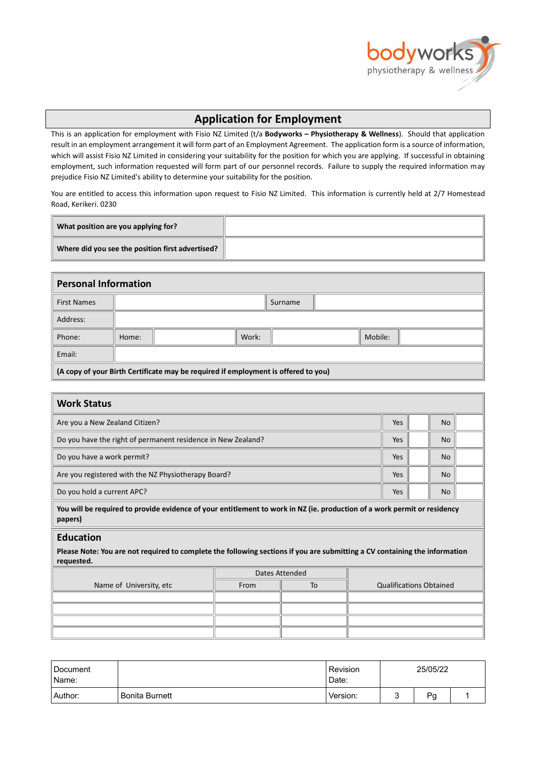

## **Application for Employment**

This is an application for employment with Fisio NZ Limited (t/a **Bodyworks – Physiotherapy & Wellness**). Should that application result in an employment arrangement it will form part of an Employment Agreement. The application form is a source of information, which will assist Fisio NZ Limited in considering your suitability for the position for which you are applying. If successful in obtaining employment, such information requested will form part of our personnel records. Failure to supply the required information may prejudice Fisio NZ Limited's ability to determine your suitability for the position.

You are entitled to access this information upon request to Fisio NZ Limited. This information is currently held at 2/7 Homestead Road, Kerikeri. 0230

| What position are you applying for?              |  |
|--------------------------------------------------|--|
| Where did you see the position first advertised? |  |

| <b>Personal Information</b> |                                                                                                |  |       |         |  |         |  |  |  |
|-----------------------------|------------------------------------------------------------------------------------------------|--|-------|---------|--|---------|--|--|--|
| <b>First Names</b>          |                                                                                                |  |       | Surname |  |         |  |  |  |
| Address:                    |                                                                                                |  |       |         |  |         |  |  |  |
| Phone:                      | Home:                                                                                          |  | Work: |         |  | Mobile: |  |  |  |
| Email:                      |                                                                                                |  |       |         |  |         |  |  |  |
|                             | $\parallel$ (A copy of your Birth Certificate may be required if employment is offered to you) |  |       |         |  |         |  |  |  |

| <b>Work Status</b>                                                                                                                                           |                |    |  |                                |  |           |  |  |
|--------------------------------------------------------------------------------------------------------------------------------------------------------------|----------------|----|--|--------------------------------|--|-----------|--|--|
| Are you a New Zealand Citizen?                                                                                                                               |                |    |  |                                |  | <b>No</b> |  |  |
| Do you have the right of permanent residence in New Zealand?                                                                                                 |                |    |  |                                |  | <b>No</b> |  |  |
| Do you have a work permit?                                                                                                                                   |                |    |  |                                |  | <b>No</b> |  |  |
| Are you registered with the NZ Physiotherapy Board?                                                                                                          |                |    |  |                                |  | <b>No</b> |  |  |
| Do you hold a current APC?                                                                                                                                   |                |    |  |                                |  | <b>No</b> |  |  |
| You will be required to provide evidence of your entitlement to work in NZ (ie. production of a work permit or residency<br>papers)                          |                |    |  |                                |  |           |  |  |
| <b>Education</b><br>Please Note: You are not required to complete the following sections if you are submitting a CV containing the information<br>requested. |                |    |  |                                |  |           |  |  |
|                                                                                                                                                              | Dates Attended |    |  |                                |  |           |  |  |
| Name of University, etc                                                                                                                                      | From           | To |  | <b>Qualifications Obtained</b> |  |           |  |  |
|                                                                                                                                                              |                |    |  |                                |  |           |  |  |
|                                                                                                                                                              |                |    |  |                                |  |           |  |  |
|                                                                                                                                                              |                |    |  |                                |  |           |  |  |
|                                                                                                                                                              |                |    |  |                                |  |           |  |  |

| Document<br>Name: |                | Revision<br>Date: |   | 25/05/22 |  |  |
|-------------------|----------------|-------------------|---|----------|--|--|
| Author:           | Bonita Burnett | Version:          | ີ | Pg       |  |  |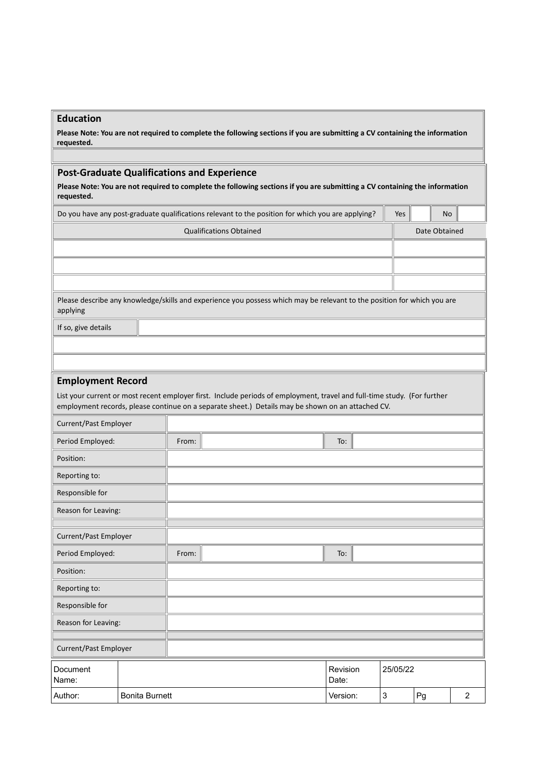## **Education**

**Please Note: You are not required to complete the following sections if you are submitting a CV containing the information requested.**

## **Post-Graduate Qualifications and Experience**

**Please Note: You are not required to complete the following sections if you are submitting a CV containing the information requested.**

| Do you have any post-graduate qualifications relevant to the position for which you are applying? |                                                                                                                                                                                                                               |       |                                                                                                                         |                   |                           |          |    | No            |                |  |
|---------------------------------------------------------------------------------------------------|-------------------------------------------------------------------------------------------------------------------------------------------------------------------------------------------------------------------------------|-------|-------------------------------------------------------------------------------------------------------------------------|-------------------|---------------------------|----------|----|---------------|----------------|--|
|                                                                                                   |                                                                                                                                                                                                                               |       | <b>Qualifications Obtained</b>                                                                                          |                   |                           |          |    | Date Obtained |                |  |
|                                                                                                   |                                                                                                                                                                                                                               |       |                                                                                                                         |                   |                           |          |    |               |                |  |
|                                                                                                   |                                                                                                                                                                                                                               |       |                                                                                                                         |                   |                           |          |    |               |                |  |
|                                                                                                   |                                                                                                                                                                                                                               |       |                                                                                                                         |                   |                           |          |    |               |                |  |
| applying                                                                                          |                                                                                                                                                                                                                               |       | Please describe any knowledge/skills and experience you possess which may be relevant to the position for which you are |                   |                           |          |    |               |                |  |
| If so, give details                                                                               |                                                                                                                                                                                                                               |       |                                                                                                                         |                   |                           |          |    |               |                |  |
|                                                                                                   |                                                                                                                                                                                                                               |       |                                                                                                                         |                   |                           |          |    |               |                |  |
|                                                                                                   |                                                                                                                                                                                                                               |       |                                                                                                                         |                   |                           |          |    |               |                |  |
|                                                                                                   | <b>Employment Record</b>                                                                                                                                                                                                      |       |                                                                                                                         |                   |                           |          |    |               |                |  |
|                                                                                                   | List your current or most recent employer first. Include periods of employment, travel and full-time study. (For further<br>employment records, please continue on a separate sheet.) Details may be shown on an attached CV. |       |                                                                                                                         |                   |                           |          |    |               |                |  |
| Current/Past Employer                                                                             |                                                                                                                                                                                                                               |       |                                                                                                                         |                   |                           |          |    |               |                |  |
| Period Employed:                                                                                  |                                                                                                                                                                                                                               | From: |                                                                                                                         | To:               |                           |          |    |               |                |  |
| Position:                                                                                         |                                                                                                                                                                                                                               |       |                                                                                                                         |                   |                           |          |    |               |                |  |
| Reporting to:                                                                                     |                                                                                                                                                                                                                               |       |                                                                                                                         |                   |                           |          |    |               |                |  |
| Responsible for                                                                                   |                                                                                                                                                                                                                               |       |                                                                                                                         |                   |                           |          |    |               |                |  |
| Reason for Leaving:                                                                               |                                                                                                                                                                                                                               |       |                                                                                                                         |                   |                           |          |    |               |                |  |
| Current/Past Employer                                                                             |                                                                                                                                                                                                                               |       |                                                                                                                         |                   |                           |          |    |               |                |  |
| Period Employed:                                                                                  |                                                                                                                                                                                                                               | From: |                                                                                                                         | To:               |                           |          |    |               |                |  |
| Position:                                                                                         |                                                                                                                                                                                                                               |       |                                                                                                                         |                   |                           |          |    |               |                |  |
| Reporting to:                                                                                     |                                                                                                                                                                                                                               |       |                                                                                                                         |                   |                           |          |    |               |                |  |
| Responsible for                                                                                   |                                                                                                                                                                                                                               |       |                                                                                                                         |                   |                           |          |    |               |                |  |
| Reason for Leaving:                                                                               |                                                                                                                                                                                                                               |       |                                                                                                                         |                   |                           |          |    |               |                |  |
|                                                                                                   |                                                                                                                                                                                                                               |       |                                                                                                                         |                   |                           |          |    |               |                |  |
| Current/Past Employer                                                                             |                                                                                                                                                                                                                               |       |                                                                                                                         |                   |                           |          |    |               |                |  |
| Document<br>Name:                                                                                 |                                                                                                                                                                                                                               |       |                                                                                                                         | Revision<br>Date: |                           | 25/05/22 |    |               |                |  |
| Author:                                                                                           | <b>Bonita Burnett</b>                                                                                                                                                                                                         |       |                                                                                                                         | Version:          | $\ensuremath{\mathsf{3}}$ |          | Pg |               | $\overline{2}$ |  |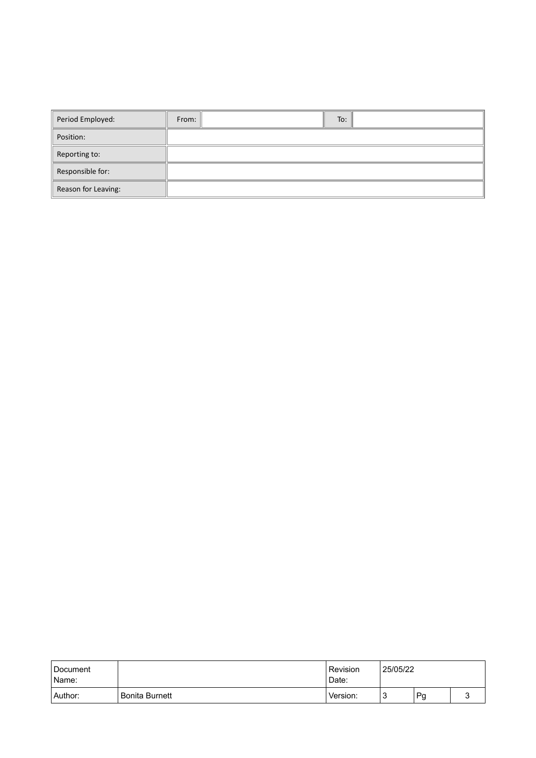| Period Employed:    | From:<br>To: |
|---------------------|--------------|
| Position:           |              |
| Reporting to:       |              |
| Responsible for:    |              |
| Reason for Leaving: |              |

| Document<br>Name: |                | 25/05/22<br>Revision<br>Date: |   |    |  |
|-------------------|----------------|-------------------------------|---|----|--|
| Author:           | Bonita Burnett | Version:                      | J | Pg |  |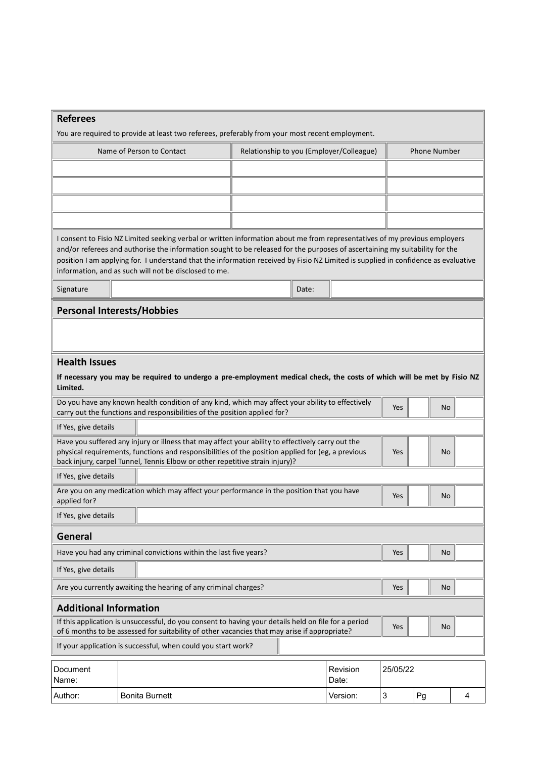| <b>Referees</b>               | You are required to provide at least two referees, preferably from your most recent employment.                                                                                                                                                                                                                                                                                                                                                          |  |       |                                          |          |                     |           |   |  |
|-------------------------------|----------------------------------------------------------------------------------------------------------------------------------------------------------------------------------------------------------------------------------------------------------------------------------------------------------------------------------------------------------------------------------------------------------------------------------------------------------|--|-------|------------------------------------------|----------|---------------------|-----------|---|--|
|                               | Name of Person to Contact                                                                                                                                                                                                                                                                                                                                                                                                                                |  |       | Relationship to you (Employer/Colleague) |          | <b>Phone Number</b> |           |   |  |
|                               |                                                                                                                                                                                                                                                                                                                                                                                                                                                          |  |       |                                          |          |                     |           |   |  |
|                               |                                                                                                                                                                                                                                                                                                                                                                                                                                                          |  |       |                                          |          |                     |           |   |  |
|                               |                                                                                                                                                                                                                                                                                                                                                                                                                                                          |  |       |                                          |          |                     |           |   |  |
|                               |                                                                                                                                                                                                                                                                                                                                                                                                                                                          |  |       |                                          |          |                     |           |   |  |
|                               | I consent to Fisio NZ Limited seeking verbal or written information about me from representatives of my previous employers<br>and/or referees and authorise the information sought to be released for the purposes of ascertaining my suitability for the<br>position I am applying for. I understand that the information received by Fisio NZ Limited is supplied in confidence as evaluative<br>information, and as such will not be disclosed to me. |  |       |                                          |          |                     |           |   |  |
| Signature                     |                                                                                                                                                                                                                                                                                                                                                                                                                                                          |  | Date: |                                          |          |                     |           |   |  |
|                               | <b>Personal Interests/Hobbies</b>                                                                                                                                                                                                                                                                                                                                                                                                                        |  |       |                                          |          |                     |           |   |  |
|                               |                                                                                                                                                                                                                                                                                                                                                                                                                                                          |  |       |                                          |          |                     |           |   |  |
| <b>Health Issues</b>          |                                                                                                                                                                                                                                                                                                                                                                                                                                                          |  |       |                                          |          |                     |           |   |  |
| Limited.                      | If necessary you may be required to undergo a pre-employment medical check, the costs of which will be met by Fisio NZ                                                                                                                                                                                                                                                                                                                                   |  |       |                                          |          |                     |           |   |  |
|                               | Do you have any known health condition of any kind, which may affect your ability to effectively<br>carry out the functions and responsibilities of the position applied for?                                                                                                                                                                                                                                                                            |  |       |                                          | Yes      |                     | No        |   |  |
| If Yes, give details          |                                                                                                                                                                                                                                                                                                                                                                                                                                                          |  |       |                                          |          |                     |           |   |  |
|                               | Have you suffered any injury or illness that may affect your ability to effectively carry out the<br>physical requirements, functions and responsibilities of the position applied for (eg, a previous<br>back injury, carpel Tunnel, Tennis Elbow or other repetitive strain injury)?                                                                                                                                                                   |  |       |                                          | Yes      |                     | <b>No</b> |   |  |
| If Yes, give details          |                                                                                                                                                                                                                                                                                                                                                                                                                                                          |  |       |                                          |          |                     |           |   |  |
| applied for?                  | Are you on any medication which may affect your performance in the position that you have                                                                                                                                                                                                                                                                                                                                                                |  |       |                                          | Yes      |                     | No        |   |  |
| If Yes, give details          |                                                                                                                                                                                                                                                                                                                                                                                                                                                          |  |       |                                          |          |                     |           |   |  |
| General                       |                                                                                                                                                                                                                                                                                                                                                                                                                                                          |  |       |                                          |          |                     |           |   |  |
|                               | Have you had any criminal convictions within the last five years?                                                                                                                                                                                                                                                                                                                                                                                        |  |       |                                          | Yes      |                     | <b>No</b> |   |  |
| If Yes, give details          |                                                                                                                                                                                                                                                                                                                                                                                                                                                          |  |       |                                          |          |                     |           |   |  |
|                               | Are you currently awaiting the hearing of any criminal charges?                                                                                                                                                                                                                                                                                                                                                                                          |  |       |                                          | Yes      |                     | No        |   |  |
| <b>Additional Information</b> |                                                                                                                                                                                                                                                                                                                                                                                                                                                          |  |       |                                          |          |                     |           |   |  |
|                               | If this application is unsuccessful, do you consent to having your details held on file for a period<br>of 6 months to be assessed for suitability of other vacancies that may arise if appropriate?                                                                                                                                                                                                                                                     |  |       |                                          | Yes      |                     | No        |   |  |
|                               | If your application is successful, when could you start work?                                                                                                                                                                                                                                                                                                                                                                                            |  |       |                                          |          |                     |           |   |  |
| Document<br>Name:             |                                                                                                                                                                                                                                                                                                                                                                                                                                                          |  |       | Revision<br>Date:                        | 25/05/22 |                     |           |   |  |
| Author:                       | <b>Bonita Burnett</b>                                                                                                                                                                                                                                                                                                                                                                                                                                    |  |       | Version:                                 | 3        | Pg                  |           | 4 |  |